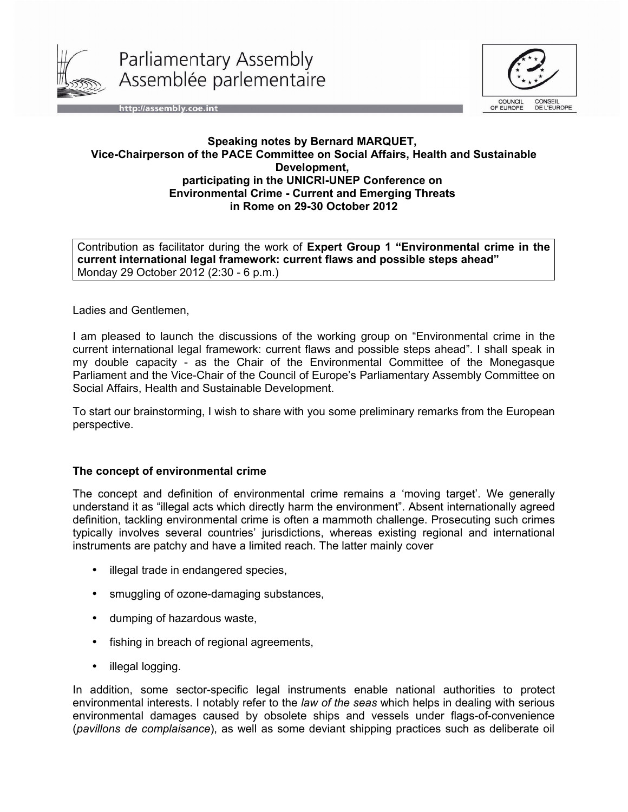

Parliamentary Assembly Assemblée parlementaire



http://assembly.coe.int

## **Speaking notes by Bernard MARQUET, Vice-Chairperson of the PACE Committee on Social Affairs, Health and Sustainable Development, participating in the UNICRI-UNEP Conference on Environmental Crime - Current and Emerging Threats in Rome on 29-30 October 2012**

Contribution as facilitator during the work of **Expert Group 1 "Environmental crime in the current international legal framework: current flaws and possible steps ahead"** Monday 29 October 2012 (2:30 - 6 p.m.)

Ladies and Gentlemen,

I am pleased to launch the discussions of the working group on "Environmental crime in the current international legal framework: current flaws and possible steps ahead". I shall speak in my double capacity - as the Chair of the Environmental Committee of the Monegasque Parliament and the Vice-Chair of the Council of Europe's Parliamentary Assembly Committee on Social Affairs, Health and Sustainable Development.

To start our brainstorming, I wish to share with you some preliminary remarks from the European perspective.

## **The concept of environmental crime**

The concept and definition of environmental crime remains a 'moving target'. We generally understand it as "illegal acts which directly harm the environment". Absent internationally agreed definition, tackling environmental crime is often a mammoth challenge. Prosecuting such crimes typically involves several countries' jurisdictions, whereas existing regional and international instruments are patchy and have a limited reach. The latter mainly cover

- illegal trade in endangered species,
- smuggling of ozone-damaging substances,
- dumping of hazardous waste,
- fishing in breach of regional agreements,
- illegal logging.

In addition, some sector-specific legal instruments enable national authorities to protect environmental interests. I notably refer to the *law of the seas* which helps in dealing with serious environmental damages caused by obsolete ships and vessels under flags-of-convenience (*pavillons de complaisance*), as well as some deviant shipping practices such as deliberate oil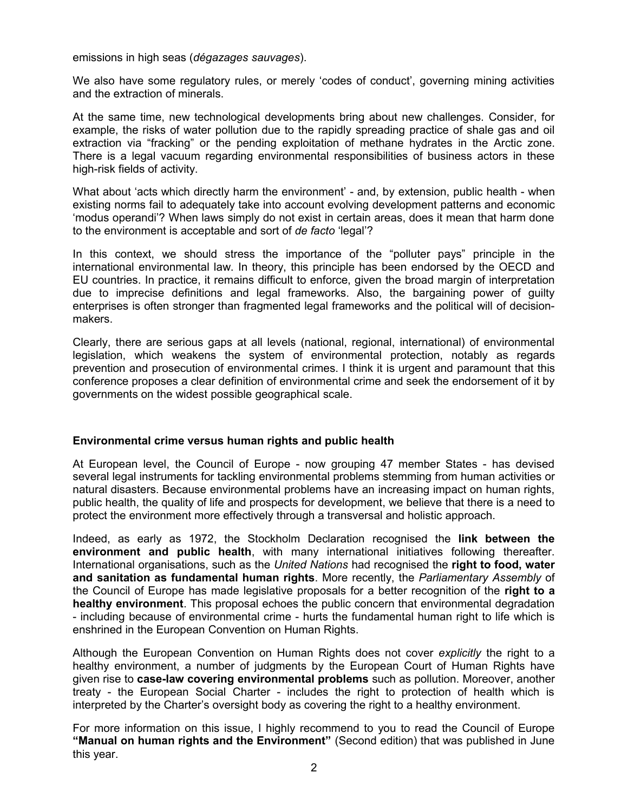emissions in high seas (*dégazages sauvages*).

We also have some regulatory rules, or merely 'codes of conduct', governing mining activities and the extraction of minerals.

At the same time, new technological developments bring about new challenges. Consider, for example, the risks of water pollution due to the rapidly spreading practice of shale gas and oil extraction via "fracking" or the pending exploitation of methane hydrates in the Arctic zone. There is a legal vacuum regarding environmental responsibilities of business actors in these high-risk fields of activity.

What about 'acts which directly harm the environment' - and, by extension, public health - when existing norms fail to adequately take into account evolving development patterns and economic 'modus operandi'? When laws simply do not exist in certain areas, does it mean that harm done to the environment is acceptable and sort of *de facto* 'legal'?

In this context, we should stress the importance of the "polluter pays" principle in the international environmental law. In theory, this principle has been endorsed by the OECD and EU countries. In practice, it remains difficult to enforce, given the broad margin of interpretation due to imprecise definitions and legal frameworks. Also, the bargaining power of guilty enterprises is often stronger than fragmented legal frameworks and the political will of decisionmakers.

Clearly, there are serious gaps at all levels (national, regional, international) of environmental legislation, which weakens the system of environmental protection, notably as regards prevention and prosecution of environmental crimes. I think it is urgent and paramount that this conference proposes a clear definition of environmental crime and seek the endorsement of it by governments on the widest possible geographical scale.

## **Environmental crime versus human rights and public health**

At European level, the Council of Europe - now grouping 47 member States - has devised several legal instruments for tackling environmental problems stemming from human activities or natural disasters. Because environmental problems have an increasing impact on human rights, public health, the quality of life and prospects for development, we believe that there is a need to protect the environment more effectively through a transversal and holistic approach.

Indeed, as early as 1972, the Stockholm Declaration recognised the **link between the environment and public health**, with many international initiatives following thereafter. International organisations, such as the *United Nations* had recognised the **right to food, water and sanitation as fundamental human rights**. More recently, the *Parliamentary Assembly* of the Council of Europe has made legislative proposals for a better recognition of the **right to a healthy environment**. This proposal echoes the public concern that environmental degradation - including because of environmental crime - hurts the fundamental human right to life which is enshrined in the European Convention on Human Rights.

Although the European Convention on Human Rights does not cover *explicitly* the right to a healthy environment, a number of judgments by the European Court of Human Rights have given rise to **case-law covering environmental problems** such as pollution. Moreover, another treaty - the European Social Charter - includes the right to protection of health which is interpreted by the Charter's oversight body as covering the right to a healthy environment.

For more information on this issue, I highly recommend to you to read the Council of Europe **"Manual on human rights and the Environment"** (Second edition) that was published in June this year.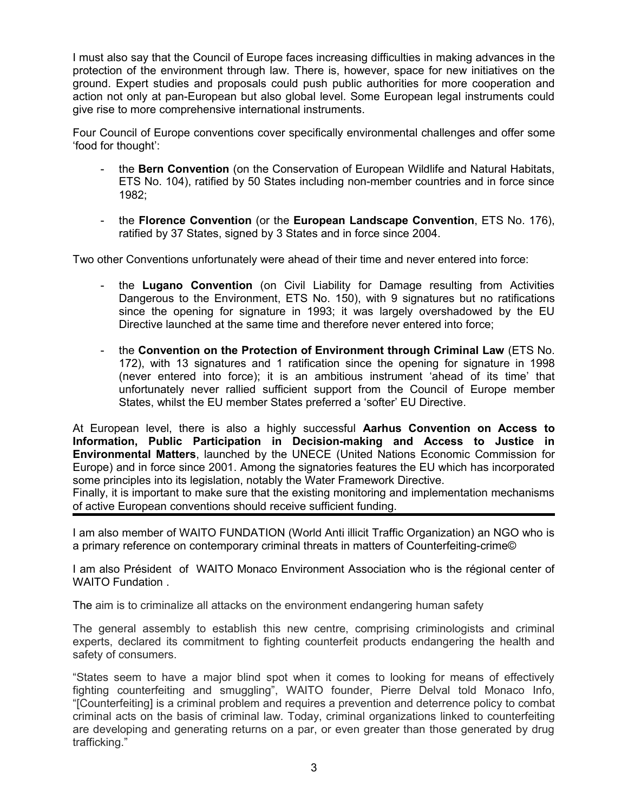I must also say that the Council of Europe faces increasing difficulties in making advances in the protection of the environment through law. There is, however, space for new initiatives on the ground. Expert studies and proposals could push public authorities for more cooperation and action not only at pan-European but also global level. Some European legal instruments could give rise to more comprehensive international instruments.

Four Council of Europe conventions cover specifically environmental challenges and offer some 'food for thought':

- the **Bern Convention** (on the Conservation of European Wildlife and Natural Habitats, ETS No. 104), ratified by 50 States including non-member countries and in force since 1982;
- the **Florence Convention** (or the **European Landscape Convention**, ETS No. 176), ratified by 37 States, signed by 3 States and in force since 2004.

Two other Conventions unfortunately were ahead of their time and never entered into force:

- the **Lugano Convention** (on Civil Liability for Damage resulting from Activities Dangerous to the Environment, ETS No. 150), with 9 signatures but no ratifications since the opening for signature in 1993; it was largely overshadowed by the EU Directive launched at the same time and therefore never entered into force;
- the **Convention on the Protection of Environment through Criminal Law** (ETS No. 172), with 13 signatures and 1 ratification since the opening for signature in 1998 (never entered into force); it is an ambitious instrument 'ahead of its time' that unfortunately never rallied sufficient support from the Council of Europe member States, whilst the EU member States preferred a 'softer' EU Directive.

At European level, there is also a highly successful **Aarhus Convention on Access to Information, Public Participation in Decision-making and Access to Justice in Environmental Matters**, launched by the UNECE (United Nations Economic Commission for Europe) and in force since 2001. Among the signatories features the EU which has incorporated some principles into its legislation, notably the Water Framework Directive. Finally, it is important to make sure that the existing monitoring and implementation mechanisms

of active European conventions should receive sufficient funding.

I am also member of WAITO FUNDATION (World Anti illicit Traffic Organization) an NGO who is a primary reference on contemporary criminal threats in matters of Counterfeiting-crime©

I am also Président of WAITO Monaco Environment Association who is the régional center of WAITO Fundation .

The aim is to criminalize all attacks on the environment endangering human safety

The general assembly to establish this new centre, comprising criminologists and criminal experts, declared its commitment to fighting counterfeit products endangering the health and safety of consumers.

"States seem to have a major blind spot when it comes to looking for means of effectively fighting counterfeiting and smuggling", WAITO founder, Pierre Delval told Monaco Info, "[Counterfeiting] is a criminal problem and requires a prevention and deterrence policy to combat criminal acts on the basis of criminal law. Today, criminal organizations linked to counterfeiting are developing and generating returns on a par, or even greater than those generated by drug trafficking."